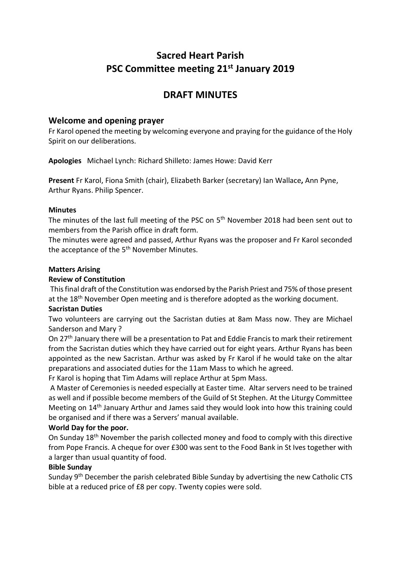# **Sacred Heart Parish PSC Committee meeting 21st January 2019**

# **DRAFT MINUTES**

# **Welcome and opening prayer**

Fr Karol opened the meeting by welcoming everyone and praying for the guidance of the Holy Spirit on our deliberations.

**Apologies** Michael Lynch: Richard Shilleto: James Howe: David Kerr

**Present** Fr Karol, Fiona Smith (chair), Elizabeth Barker (secretary) Ian Wallace**,** Ann Pyne, Arthur Ryans. Philip Spencer.

## **Minutes**

The minutes of the last full meeting of the PSC on 5<sup>th</sup> November 2018 had been sent out to members from the Parish office in draft form.

The minutes were agreed and passed, Arthur Ryans was the proposer and Fr Karol seconded the acceptance of the 5<sup>th</sup> November Minutes.

## **Matters Arising**

## **Review of Constitution**

This final draft of the Constitution was endorsed by the Parish Priest and 75% of those present at the 18<sup>th</sup> November Open meeting and is therefore adopted as the working document.

# **Sacristan Duties**

Two volunteers are carrying out the Sacristan duties at 8am Mass now. They are Michael Sanderson and Mary ?

On 27<sup>th</sup> January there will be a presentation to Pat and Eddie Francis to mark their retirement from the Sacristan duties which they have carried out for eight years. Arthur Ryans has been appointed as the new Sacristan. Arthur was asked by Fr Karol if he would take on the altar preparations and associated duties for the 11am Mass to which he agreed.

Fr Karol is hoping that Tim Adams will replace Arthur at 5pm Mass.

A Master of Ceremonies is needed especially at Easter time. Altar servers need to be trained as well and if possible become members of the Guild of St Stephen. At the Liturgy Committee Meeting on 14<sup>th</sup> January Arthur and James said they would look into how this training could be organised and if there was a Servers' manual available.

# **World Day for the poor.**

On Sunday 18th November the parish collected money and food to comply with this directive from Pope Francis. A cheque for over £300 was sent to the Food Bank in St Ives together with a larger than usual quantity of food.

#### **Bible Sunday**

Sunday 9<sup>th</sup> December the parish celebrated Bible Sunday by advertising the new Catholic CTS bible at a reduced price of £8 per copy. Twenty copies were sold.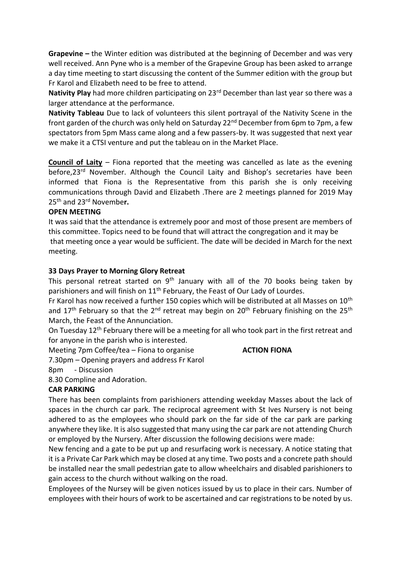**Grapevine –** the Winter edition was distributed at the beginning of December and was very well received. Ann Pyne who is a member of the Grapevine Group has been asked to arrange a day time meeting to start discussing the content of the Summer edition with the group but Fr Karol and Elizabeth need to be free to attend.

**Nativity Play** had more children participating on 23rd December than last year so there was a larger attendance at the performance.

**Nativity Tableau** Due to lack of volunteers this silent portrayal of the Nativity Scene in the front garden of the church was only held on Saturday 22<sup>nd</sup> December from 6pm to 7pm, a few spectators from 5pm Mass came along and a few passers-by. It was suggested that next year we make it a CTSI venture and put the tableau on in the Market Place.

**Council of Laity** – Fiona reported that the meeting was cancelled as late as the evening before,23rd November. Although the Council Laity and Bishop's secretaries have been informed that Fiona is the Representative from this parish she is only receiving communications through David and Elizabeth .There are 2 meetings planned for 2019 May 25th and 23rd Novembe**r.** 

# **OPEN MEETING**

It was said that the attendance is extremely poor and most of those present are members of this committee. Topics need to be found that will attract the congregation and it may be that meeting once a year would be sufficient. The date will be decided in March for the next meeting.

## **33 Days Prayer to Morning Glory Retreat**

This personal retreat started on  $9<sup>th</sup>$  January with all of the 70 books being taken by parishioners and will finish on  $11<sup>th</sup>$  February, the Feast of Our Lady of Lourdes.

Fr Karol has now received a further 150 copies which will be distributed at all Masses on 10<sup>th</sup> and 17<sup>th</sup> February so that the 2<sup>nd</sup> retreat may begin on 20<sup>th</sup> February finishing on the 25<sup>th</sup> March, the Feast of the Annunciation.

On Tuesday 12<sup>th</sup> February there will be a meeting for all who took part in the first retreat and for anyone in the parish who is interested.

Meeting 7pm Coffee/tea – Fiona to organise **ACTION FIONA**

7.30pm – Opening prayers and address Fr Karol

#### 8pm - Discussion

8.30 Compline and Adoration.

# **CAR PARKING**

There has been complaints from parishioners attending weekday Masses about the lack of spaces in the church car park. The reciprocal agreement with St Ives Nursery is not being adhered to as the employees who should park on the far side of the car park are parking anywhere they like. It is also suggested that many using the car park are not attending Church or employed by the Nursery. After discussion the following decisions were made:

New fencing and a gate to be put up and resurfacing work is necessary. A notice stating that it is a Private Car Park which may be closed at any time. Two posts and a concrete path should be installed near the small pedestrian gate to allow wheelchairs and disabled parishioners to gain access to the church without walking on the road.

Employees of the Nursey will be given notices issued by us to place in their cars. Number of employees with their hours of work to be ascertained and car registrations to be noted by us.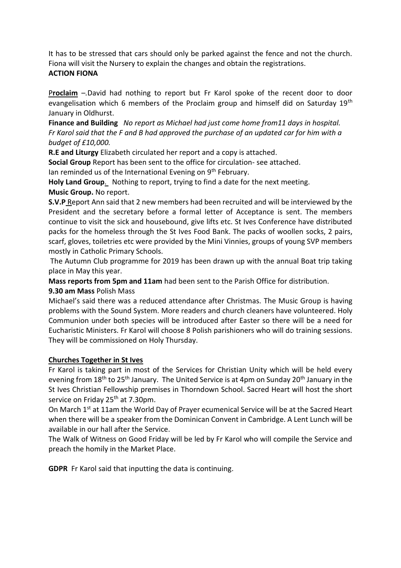It has to be stressed that cars should only be parked against the fence and not the church. Fiona will visit the Nursery to explain the changes and obtain the registrations. **ACTION FIONA**

P**roclaim** –*.*David had nothing to report but Fr Karol spoke of the recent door to door evangelisation which 6 members of the Proclaim group and himself did on Saturday 19<sup>th</sup> January in Oldhurst.

**Finance and Building** *No report as Michael had just come home from11 days in hospital. Fr Karol said that the F and B had approved the purchase of an updated car for him with a budget of £10,000.*

**R.E and Liturgy** Elizabeth circulated her report and a copy is attached.

**Social Group** Report has been sent to the office for circulation- see attached.

Ian reminded us of the International Evening on 9<sup>th</sup> February.

**Holy Land Group**. Nothing to report, trying to find a date for the next meeting. **Music Group.** No report.

**S.V.P** Report Ann said that 2 new members had been recruited and will be interviewed by the President and the secretary before a formal letter of Acceptance is sent. The members continue to visit the sick and housebound, give lifts etc. St Ives Conference have distributed packs for the homeless through the St Ives Food Bank. The packs of woollen socks, 2 pairs, scarf, gloves, toiletries etc were provided by the Mini Vinnies, groups of young SVP members mostly in Catholic Primary Schools.

The Autumn Club programme for 2019 has been drawn up with the annual Boat trip taking place in May this year.

**Mass reports from 5pm and 11am** had been sent to the Parish Office for distribution.

# **9.30 am Mass** Polish Mass

Michael's said there was a reduced attendance after Christmas. The Music Group is having problems with the Sound System. More readers and church cleaners have volunteered. Holy Communion under both species will be introduced after Easter so there will be a need for Eucharistic Ministers. Fr Karol will choose 8 Polish parishioners who will do training sessions. They will be commissioned on Holy Thursday.

# **Churches Together in St Ives**

Fr Karol is taking part in most of the Services for Christian Unity which will be held every evening from 18<sup>th</sup> to 25<sup>th</sup> January. The United Service is at 4pm on Sunday 20<sup>th</sup> January in the St Ives Christian Fellowship premises in Thorndown School. Sacred Heart will host the short service on Friday 25<sup>th</sup> at 7.30pm.

On March 1<sup>st</sup> at 11am the World Day of Prayer ecumenical Service will be at the Sacred Heart when there will be a speaker from the Dominican Convent in Cambridge. A Lent Lunch will be available in our hall after the Service.

The Walk of Witness on Good Friday will be led by Fr Karol who will compile the Service and preach the homily in the Market Place.

**GDPR** Fr Karol said that inputting the data is continuing.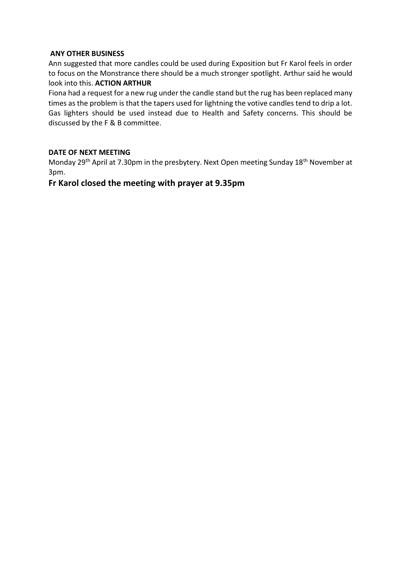## **ANY OTHER BUSINESS**

Ann suggested that more candles could be used during Exposition but Fr Karol feels in order to focus on the Monstrance there should be a much stronger spotlight. Arthur said he would look into this. **ACTION ARTHUR**

Fiona had a request for a new rug under the candle stand but the rug has been replaced many times as the problem is that the tapers used for lightning the votive candles tend to drip a lot. Gas lighters should be used instead due to Health and Safety concerns. This should be discussed by the F & B committee.

## **DATE OF NEXT MEETING**

Monday 29<sup>th</sup> April at 7.30pm in the presbytery. Next Open meeting Sunday 18<sup>th</sup> November at 3pm.

# **Fr Karol closed the meeting with prayer at 9.35pm**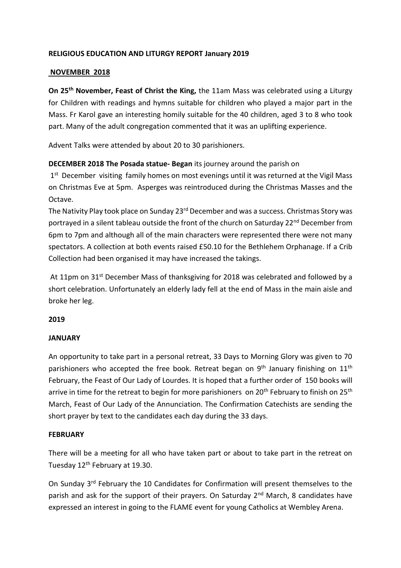# **RELIGIOUS EDUCATION AND LITURGY REPORT January 2019**

#### **NOVEMBER 2018**

**On 25th November, Feast of Christ the King,** the 11am Mass was celebrated using a Liturgy for Children with readings and hymns suitable for children who played a major part in the Mass. Fr Karol gave an interesting homily suitable for the 40 children, aged 3 to 8 who took part. Many of the adult congregation commented that it was an uplifting experience.

Advent Talks were attended by about 20 to 30 parishioners.

## **DECEMBER 2018 The Posada statue- Began** its journey around the parish on

1<sup>st</sup> December visiting family homes on most evenings until it was returned at the Vigil Mass on Christmas Eve at 5pm. Asperges was reintroduced during the Christmas Masses and the Octave.

The Nativity Play took place on Sunday 23rd December and was a success. Christmas Story was portrayed in a silent tableau outside the front of the church on Saturday 22<sup>nd</sup> December from 6pm to 7pm and although all of the main characters were represented there were not many spectators. A collection at both events raised £50.10 for the Bethlehem Orphanage. If a Crib Collection had been organised it may have increased the takings.

At 11pm on 31<sup>st</sup> December Mass of thanksgiving for 2018 was celebrated and followed by a short celebration. Unfortunately an elderly lady fell at the end of Mass in the main aisle and broke her leg.

#### **2019**

#### **JANUARY**

An opportunity to take part in a personal retreat, 33 Days to Morning Glory was given to 70 parishioners who accepted the free book. Retreat began on  $9<sup>th</sup>$  January finishing on  $11<sup>th</sup>$ February, the Feast of Our Lady of Lourdes. It is hoped that a further order of 150 books will arrive in time for the retreat to begin for more parishioners on 20<sup>th</sup> February to finish on 25<sup>th</sup> March, Feast of Our Lady of the Annunciation. The Confirmation Catechists are sending the short prayer by text to the candidates each day during the 33 days.

#### **FEBRUARY**

There will be a meeting for all who have taken part or about to take part in the retreat on Tuesday 12<sup>th</sup> February at 19.30.

On Sunday 3rd February the 10 Candidates for Confirmation will present themselves to the parish and ask for the support of their prayers. On Saturday 2<sup>nd</sup> March, 8 candidates have expressed an interest in going to the FLAME event for young Catholics at Wembley Arena.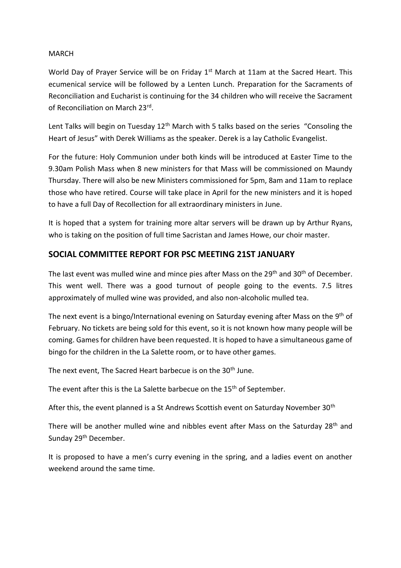## MARCH

World Day of Prayer Service will be on Friday 1<sup>st</sup> March at 11am at the Sacred Heart. This ecumenical service will be followed by a Lenten Lunch. Preparation for the Sacraments of Reconciliation and Eucharist is continuing for the 34 children who will receive the Sacrament of Reconciliation on March 23rd.

Lent Talks will begin on Tuesday 12<sup>th</sup> March with 5 talks based on the series "Consoling the Heart of Jesus" with Derek Williams as the speaker. Derek is a lay Catholic Evangelist.

For the future: Holy Communion under both kinds will be introduced at Easter Time to the 9.30am Polish Mass when 8 new ministers for that Mass will be commissioned on Maundy Thursday. There will also be new Ministers commissioned for 5pm, 8am and 11am to replace those who have retired. Course will take place in April for the new ministers and it is hoped to have a full Day of Recollection for all extraordinary ministers in June.

It is hoped that a system for training more altar servers will be drawn up by Arthur Ryans, who is taking on the position of full time Sacristan and James Howe, our choir master.

# **SOCIAL COMMITTEE REPORT FOR PSC MEETING 21ST JANUARY**

The last event was mulled wine and mince pies after Mass on the 29<sup>th</sup> and 30<sup>th</sup> of December. This went well. There was a good turnout of people going to the events. 7.5 litres approximately of mulled wine was provided, and also non-alcoholic mulled tea.

The next event is a bingo/International evening on Saturday evening after Mass on the 9<sup>th</sup> of February. No tickets are being sold for this event, so it is not known how many people will be coming. Games for children have been requested. It is hoped to have a simultaneous game of bingo for the children in the La Salette room, or to have other games.

The next event, The Sacred Heart barbecue is on the 30<sup>th</sup> June.

The event after this is the La Salette barbecue on the 15<sup>th</sup> of September.

After this, the event planned is a St Andrews Scottish event on Saturday November 30<sup>th</sup>

There will be another mulled wine and nibbles event after Mass on the Saturday 28<sup>th</sup> and Sunday 29<sup>th</sup> December.

It is proposed to have a men's curry evening in the spring, and a ladies event on another weekend around the same time.